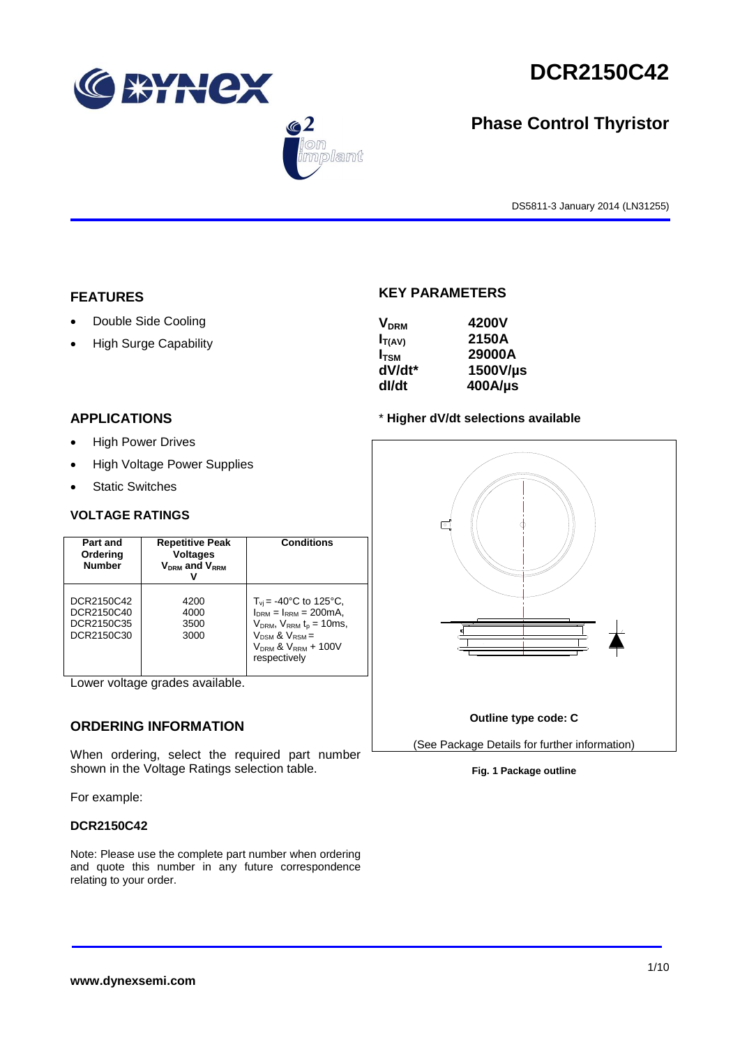





# **Phase Control Thyristor**

DS5811-3 January 2014 (LN31255)

## **FEATURES**

- Double Side Cooling
- High Surge Capability

## **APPLICATIONS**

- High Power Drives
- High Voltage Power Supplies
- Static Switches

## **VOLTAGE RATINGS**

| Part and<br>Ordering<br><b>Number</b>                | <b>Repetitive Peak</b><br><b>Voltages</b><br>$V_{DRM}$ and $V_{RRM}$ | <b>Conditions</b>                                                                                                                                                                                |
|------------------------------------------------------|----------------------------------------------------------------------|--------------------------------------------------------------------------------------------------------------------------------------------------------------------------------------------------|
| DCR2150C42<br>DCR2150C40<br>DCR2150C35<br>DCR2150C30 | 4200<br>4000<br>3500<br>3000                                         | $T_{\rm vi}$ = -40°C to 125°C,<br>$I_{DRM} = I_{RRM} = 200 \text{mA}$<br>$V_{DRM}$ , $V_{RRM}$ t <sub>p</sub> = 10ms,<br>$V_{DSM}$ & $V_{RSM}$ =<br>$V_{DRM}$ & $V_{RRM}$ + 100V<br>respectively |

Lower voltage grades available.

## **ORDERING INFORMATION**

When ordering, select the required part number shown in the Voltage Ratings selection table.

For example:

## **DCR2150C42**

Note: Please use the complete part number when ordering and quote this number in any future correspondence relating to your order.

## **KEY PARAMETERS**

| <b>V<sub>DRM</sub></b> | 4200V      |
|------------------------|------------|
| $I_{T(AV)}$            | 2150A      |
| $I_{\rm TSM}$          | 29000A     |
| dV/dt*                 | 1500V/µs   |
| dl/dt                  | $400$ A/µs |

## \* **Higher dV/dt selections available**

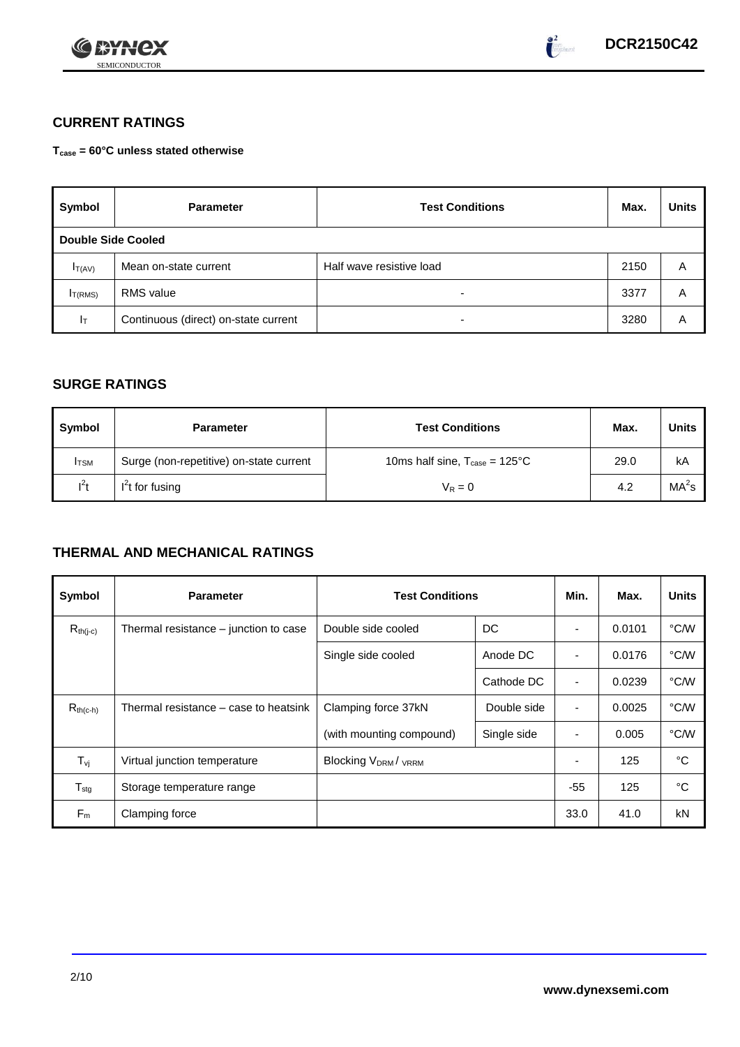



# **CURRENT RATINGS**

**Tcase = 60°C unless stated otherwise**

| Symbol              | <b>Parameter</b>                     | <b>Test Conditions</b>   | Max. | <b>Units</b> |
|---------------------|--------------------------------------|--------------------------|------|--------------|
| Double Side Cooled  |                                      |                          |      |              |
| $I_{T(AV)}$         | Mean on-state current                | Half wave resistive load | 2150 | A            |
| I <sub>T(RMS)</sub> | <b>RMS</b> value                     | -                        | 3377 | Α            |
| Iτ                  | Continuous (direct) on-state current | $\overline{\phantom{0}}$ | 3280 | Α            |

## **SURGE RATINGS**

| Symbol       | <b>Parameter</b>                        | <b>Test Conditions</b>                           | Max. | Units             |
|--------------|-----------------------------------------|--------------------------------------------------|------|-------------------|
| <b>I</b> TSM | Surge (non-repetitive) on-state current | 10ms half sine, $T_{\text{case}} = 125^{\circ}C$ | 29.0 | kA                |
| $l^2t$       | $I2t$ for fusing                        | $V_R = 0$                                        | 4.2  | MA <sup>2</sup> s |

# **THERMAL AND MECHANICAL RATINGS**

| Symbol                         | <b>Parameter</b>                      | <b>Test Conditions</b>                      |             | Min.           | Max.   | <b>Units</b> |
|--------------------------------|---------------------------------------|---------------------------------------------|-------------|----------------|--------|--------------|
| $R_{th(j-c)}$                  | Thermal resistance – junction to case | Double side cooled                          | DC          |                | 0.0101 | °C/W         |
|                                |                                       | Single side cooled                          | Anode DC    | ٠              | 0.0176 | °C/W         |
|                                |                                       |                                             | Cathode DC  | $\blacksquare$ | 0.0239 | °C/W         |
| $R_{th(c-h)}$                  | Thermal resistance – case to heatsink | Clamping force 37kN                         | Double side | ٠              | 0.0025 | °C/W         |
|                                |                                       | (with mounting compound)                    | Single side |                | 0.005  | °C/W         |
| $T_{\rm\scriptscriptstyle VI}$ | Virtual junction temperature          | Blocking V <sub>DRM</sub> / <sub>VRRM</sub> |             |                | 125    | °C           |
| $T_{\text{stg}}$               | Storage temperature range             |                                             |             | $-55$          | 125    | °C           |
| $F_m$                          | Clamping force                        |                                             |             | 33.0           | 41.0   | kN           |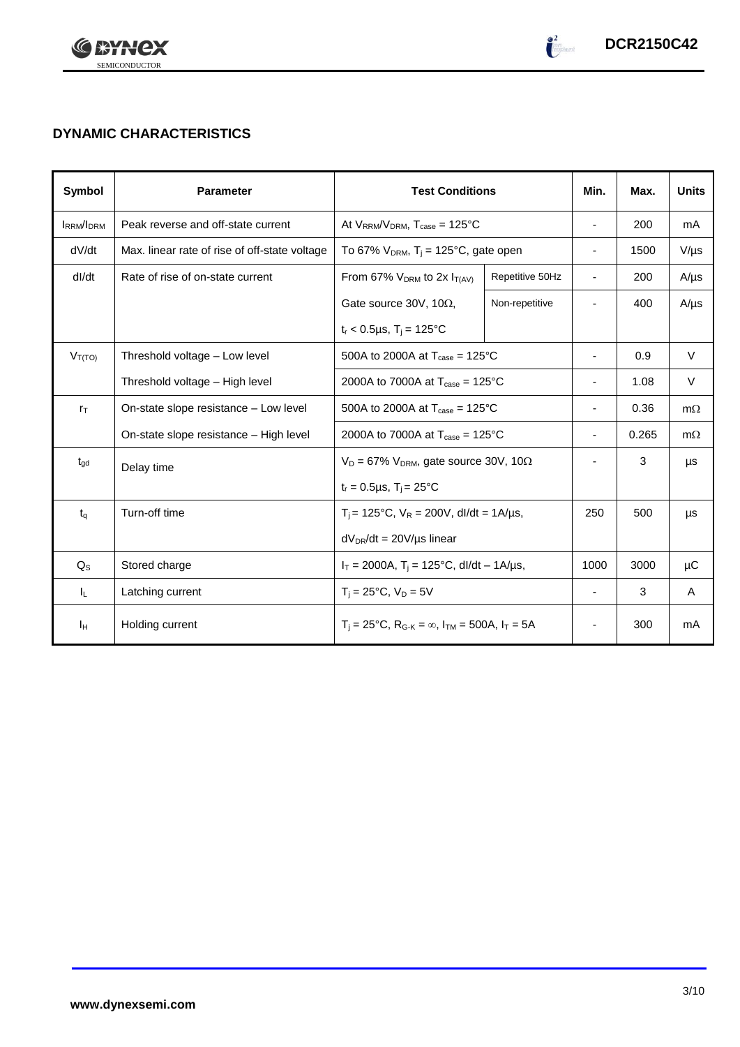

# **DYNAMIC CHARACTERISTICS**

| Symbol           | <b>Parameter</b>                              |                                                                                                 | <b>Test Conditions</b> |                          | Max.  | <b>Units</b> |
|------------------|-----------------------------------------------|-------------------------------------------------------------------------------------------------|------------------------|--------------------------|-------|--------------|
| <b>IRRM/IDRM</b> | Peak reverse and off-state current            | At $V_{RRM}/V_{DRM}$ , $T_{case} = 125^{\circ}C$                                                |                        | $\overline{\phantom{a}}$ | 200   | mA           |
| dV/dt            | Max. linear rate of rise of off-state voltage | To 67% $V_{DRM}$ , T <sub>j</sub> = 125°C, gate open                                            |                        | $\overline{\phantom{a}}$ | 1500  | $V/\mu s$    |
| dl/dt            | Rate of rise of on-state current              | From 67% $V_{DRM}$ to 2x $I_{T(AV)}$                                                            | Repetitive 50Hz        | $\overline{\phantom{a}}$ | 200   | $A/\mu s$    |
|                  |                                               | Gate source 30V, 10 $\Omega$ ,                                                                  | Non-repetitive         |                          | 400   | $A/\mu s$    |
|                  |                                               | $t_r < 0.5 \mu s$ , $T_i = 125$ °C                                                              |                        |                          |       |              |
| $V_{T(TO)}$      | Threshold voltage - Low level                 | 500A to 2000A at $T_{\text{case}} = 125^{\circ}C$                                               |                        | $\blacksquare$           | 0.9   | $\vee$       |
|                  | Threshold voltage - High level                | 2000A to 7000A at $T_{\text{case}} = 125^{\circ}$ C                                             |                        |                          | 1.08  | $\vee$       |
| $r_{\text{T}}$   | On-state slope resistance - Low level         | 500A to 2000A at $T_{\text{case}} = 125^{\circ}C$                                               |                        |                          | 0.36  | $m\Omega$    |
|                  | On-state slope resistance - High level        | 2000A to 7000A at $T_{\text{case}} = 125^{\circ}$ C                                             |                        |                          | 0.265 | $m\Omega$    |
| $t_{\text{qd}}$  | Delay time                                    | $V_D = 67\%$ V <sub>DRM</sub> , gate source 30V, 10 $\Omega$                                    |                        |                          | 3     | μs           |
|                  |                                               | $t_r = 0.5 \mu s$ , $T_i = 25^{\circ}C$                                                         |                        |                          |       |              |
| $t_{\alpha}$     | Turn-off time                                 | $T_i$ = 125°C, $V_R$ = 200V, dl/dt = 1A/µs,                                                     |                        | 250                      | 500   | μs           |
|                  |                                               | $dV_{DR}/dt = 20V/\mu s$ linear                                                                 |                        |                          |       |              |
| $Q_{\rm S}$      | Stored charge                                 | $I_T = 2000A$ , $T_i = 125^{\circ}C$ , dl/dt – 1A/µs,                                           |                        | 1000                     | 3000  | μC           |
| IL.              | Latching current                              | $T_i = 25^{\circ}C$ , $V_D = 5V$                                                                |                        | $\overline{\phantom{a}}$ | 3     | A            |
| Iн               | Holding current                               | $T_i = 25^{\circ}C$ , R <sub>G-K</sub> = $\infty$ , I <sub>TM</sub> = 500A, I <sub>T</sub> = 5A |                        |                          | 300   | mA           |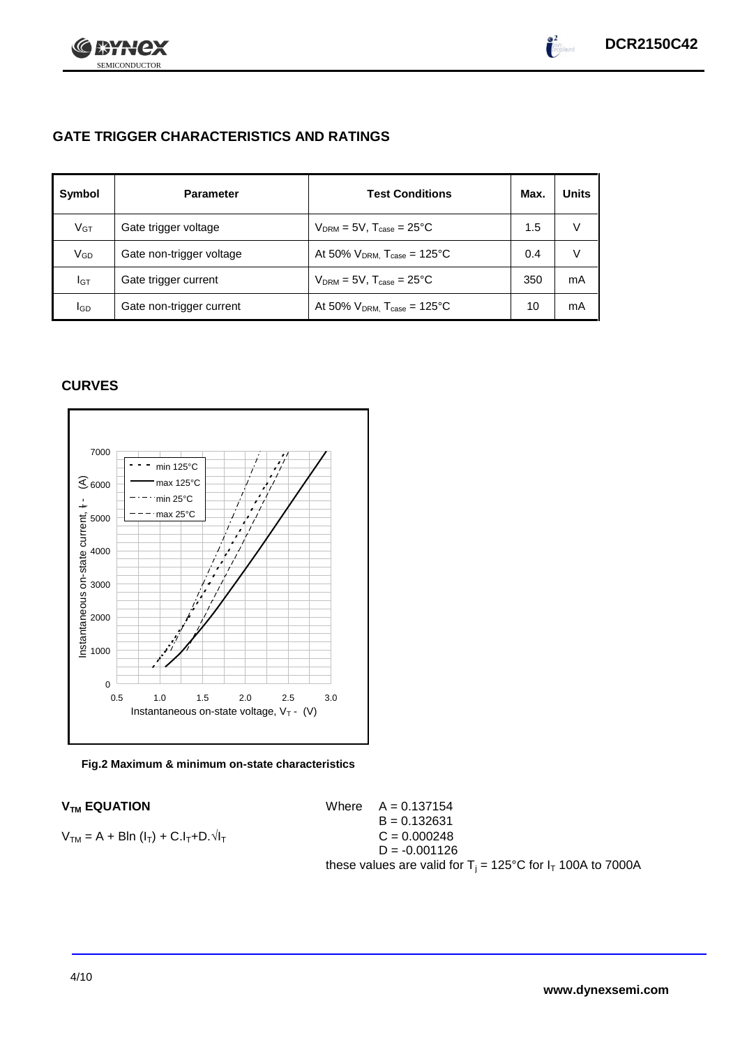

# **GATE TRIGGER CHARACTERISTICS AND RATINGS**

| Symbol          | <b>Parameter</b>         | <b>Test Conditions</b>                       | Max. | <b>Units</b> |
|-----------------|--------------------------|----------------------------------------------|------|--------------|
| V <sub>GT</sub> | Gate trigger voltage     | $V_{DRM}$ = 5V, $T_{case}$ = 25°C            | 1.5  | V            |
| VGD             | Gate non-trigger voltage | At 50% $V_{DRM}$ , $T_{case} = 125^{\circ}C$ | 0.4  | V            |
| IGТ             | Gate trigger current     | $V_{DRM}$ = 5V, $T_{case}$ = 25°C            | 350  | mA           |
| lgp             | Gate non-trigger current | At 50% $V_{DRM}$ , $T_{case} = 125$ °C       | 10   | mA           |

## **CURVES**



### **Fig.2 Maximum & minimum on-state characteristics**

 $V_{TM}$  **EQUATION** Where  $A = 0.137154$  $B = 0.132631$  $V_{TM} = A + B\ln(I_T) + C.I_T + D.\sqrt{I_T}$  C = 0.000248  $D = -0.001126$ these values are valid for  $T_i = 125^{\circ}C$  for  $I_T$  100A to 7000A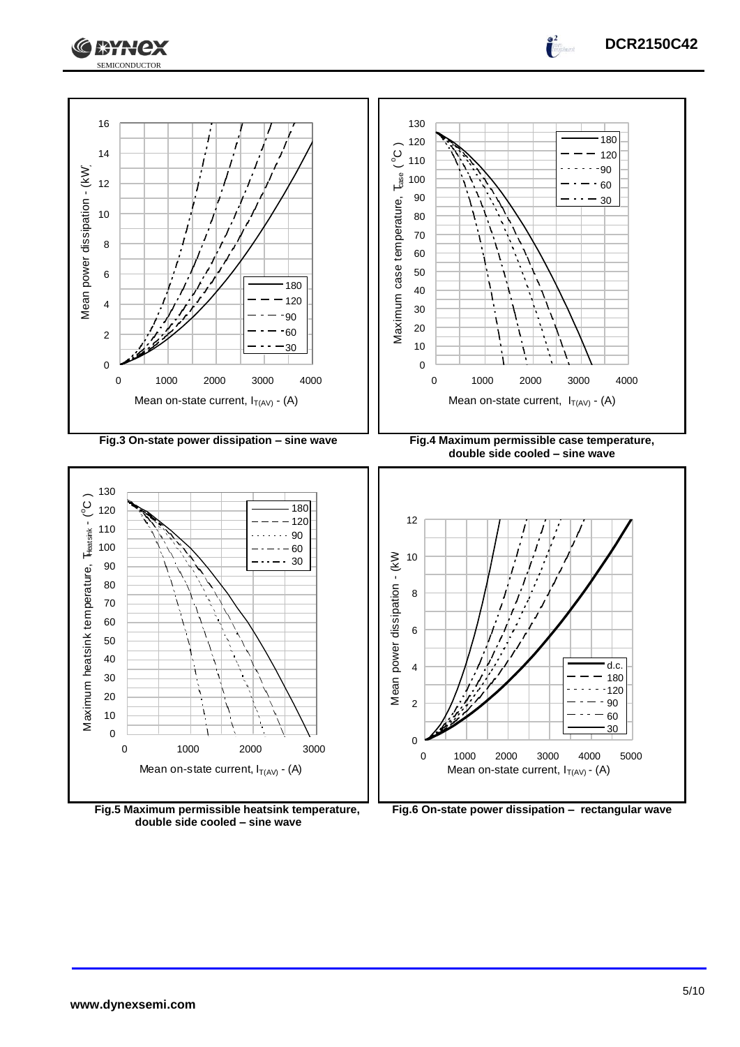



**Fig.5 Maximum permissible heatsink temperature, double side cooled – sine wave**



**DCR2150C42**

 $\int_0^2$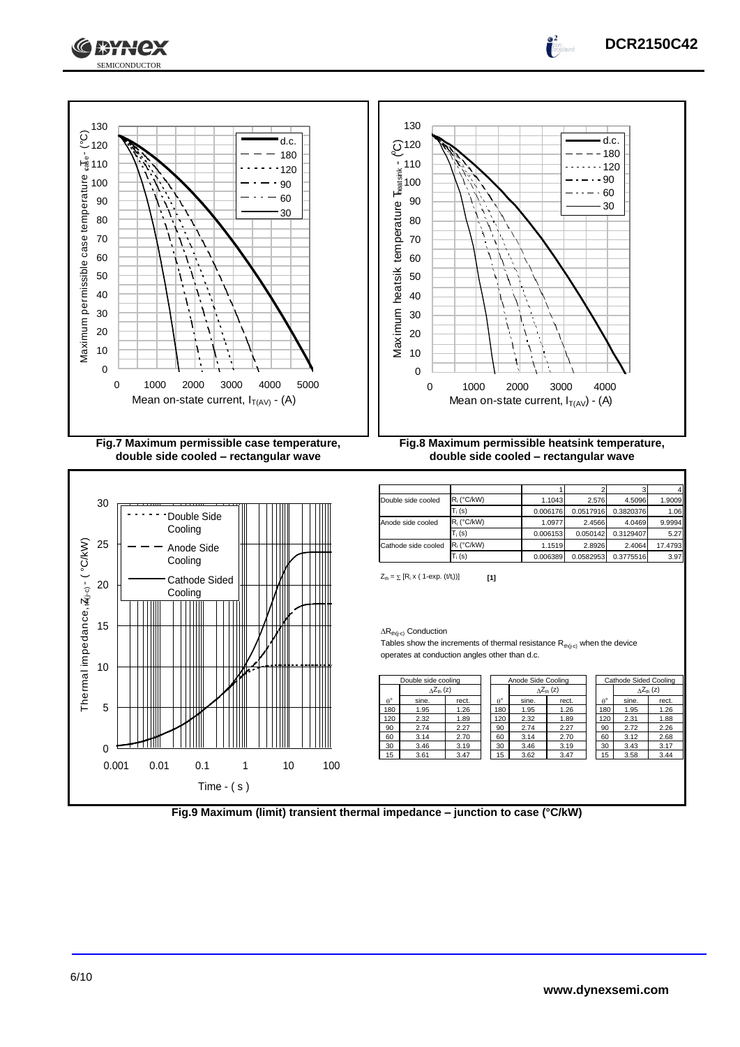



**XXX** 

| Double side cooled  | $R_i$ (°C/kW) | 1.1043   | 2.576     | 4.5096    | 1.9009  |
|---------------------|---------------|----------|-----------|-----------|---------|
|                     | $T_i(s)$      | 0.006176 | 0.0517916 | 0.3820376 | 1.06    |
| Anode side cooled   | $R_i$ (°C/kW) | 1.0977   | 2.4566    | 4.0469    | 9.9994  |
|                     | $T_i(s)$      | 0.006153 | 0.050142  | 0.3129407 | 5.27    |
| Cathode side cooled | $R_i$ (°C/kW) | 1.1519   | 2.8926    | 2.4064    | 17.4793 |
|                     | $T_i$ (s)     | 0.006389 | 0.0582953 | 0.3775516 | 3.97    |
|                     |               |          |           |           |         |

**DCR2150C42**

 $Z_{\text{th}} = \sum [R_i \times (1 - \exp. (t/t_i))]$  [1]

#### $\Delta R_{th(j-c)}$  Conduction

Tables show the increments of thermal resistance  $R_{th(j-c)}$  when the device operates at conduction angles other than d.c.

| Double side cooling |                           |       | Anode Side Cooling |       |                           | Cathode Sided Cooling |       |                           |
|---------------------|---------------------------|-------|--------------------|-------|---------------------------|-----------------------|-------|---------------------------|
|                     | $\Delta Z_{\text{th}}(z)$ |       |                    |       | $\Delta Z_{\text{th}}(z)$ |                       |       | $\Delta Z_{\text{th}}(z)$ |
| $\theta^{\circ}$    | sine.                     | rect. | $\theta^{\circ}$   | sine. | rect.                     | $A^{\circ}$           | sine. | rect.                     |
| 180                 | 1.95                      | 1.26  | 180                | 1.95  | 1.26                      | 180                   | 1.95  | 1.26                      |
| 120                 | 2.32                      | 1.89  | 120                | 2.32  | 1.89                      | 120                   | 2.31  | 1.88                      |
| 90                  | 2.74                      | 2.27  | 90                 | 2.74  | 2.27                      | 90                    | 2.72  | 2.26                      |
| 60                  | 3.14                      | 2.70  | 60                 | 3.14  | 2.70                      | 60                    | 3.12  | 2.68                      |
| 30                  | 3.46                      | 3.19  | 30                 | 3.46  | 3.19                      | 30                    | 3.43  | 3.17                      |
| 15                  | 3.61                      | 3.47  | 15                 | 3.62  | 3.47                      | 15                    | 3.58  | 3.44                      |

| Fig.9 Maximum (limit) transient thermal impedance - junction to case (°C/kW) |  |
|------------------------------------------------------------------------------|--|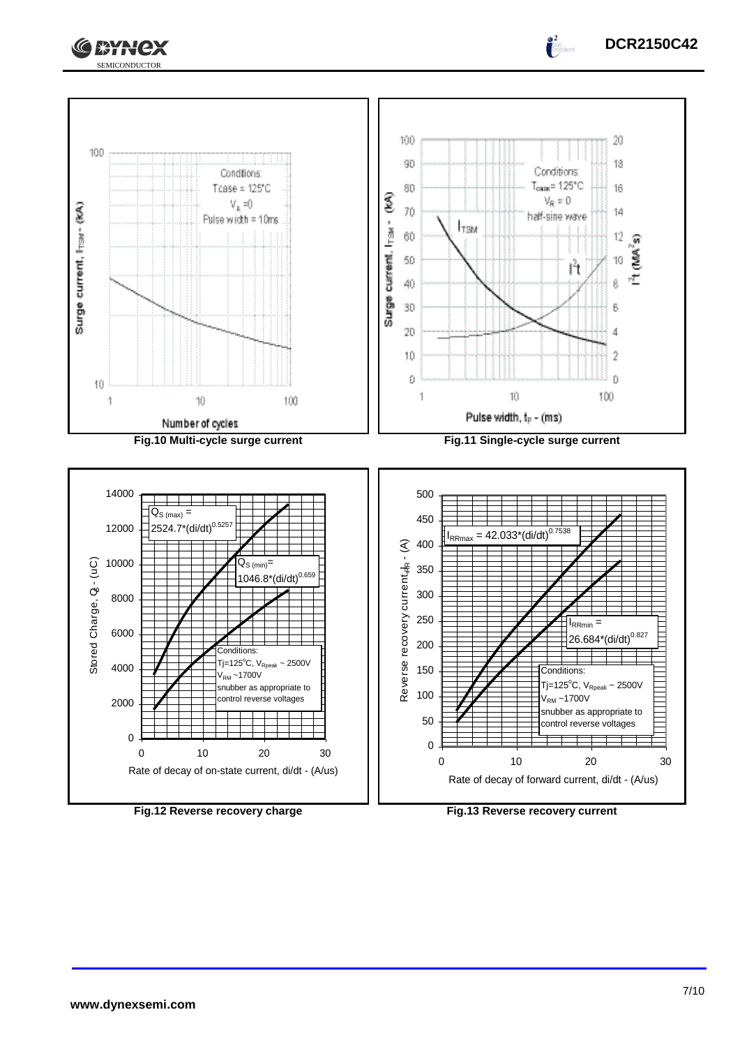



**DCR2150C42**

 $\int_0^2$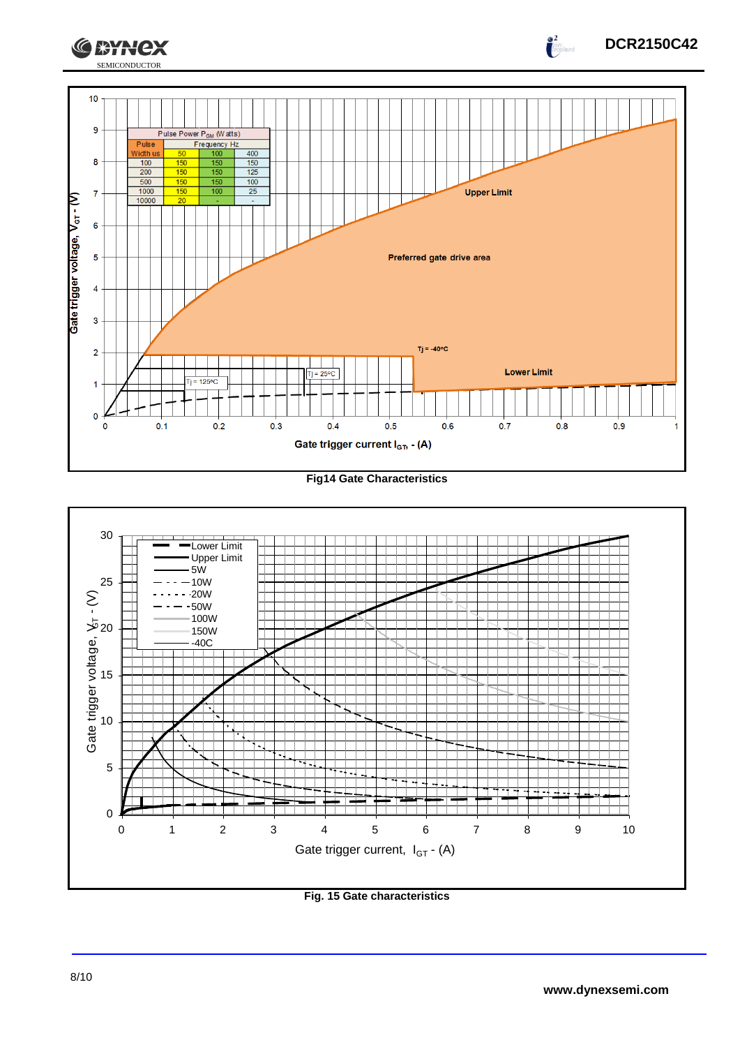

#### **Fig14 Gate Characteristics**



## **Fig. 15 Gate characteristics**

**DCR2150C42**

 $\int_{-\infty}^{\infty}$ 

**CEYNEX**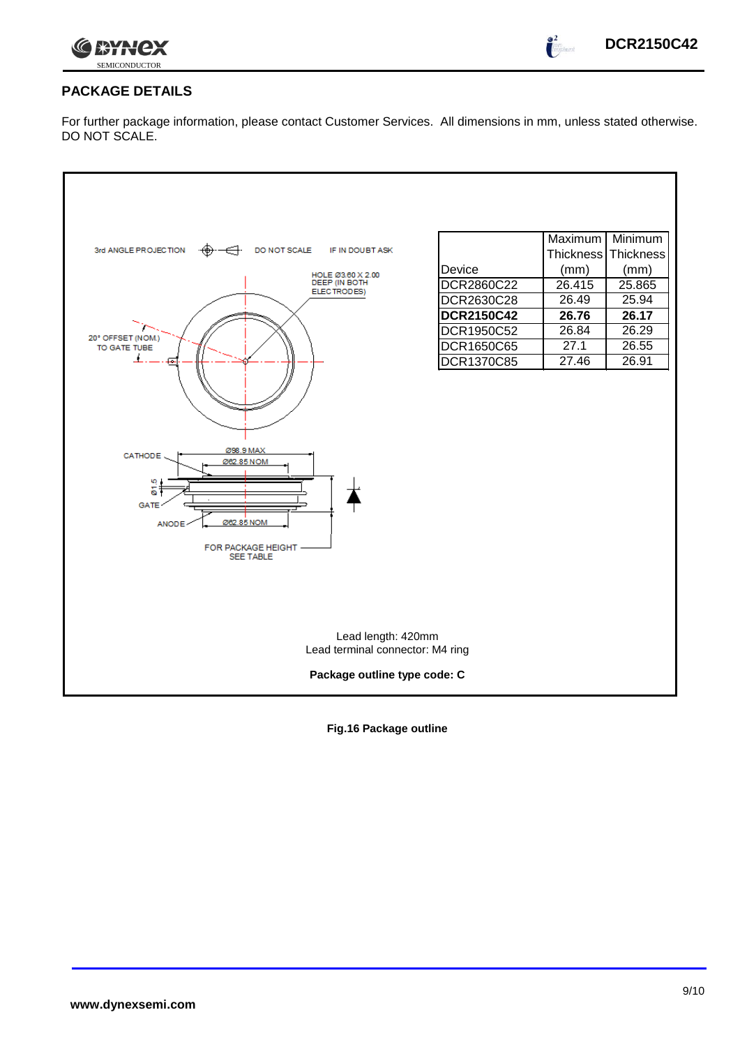

## **PACKAGE DETAILS**

For further package information, please contact Customer Services. All dimensions in mm, unless stated otherwise. DO NOT SCALE.

| 3rd ANGLE PROJECTION<br>DO NOT SCALE<br>IF IN DOUBT ASK<br>HOLE Ø3.60 X 2.00<br>DEEP (IN BOTH<br>ELECTRODES)<br>20° OFFSET (NOM.)<br>TO GATE TUBE<br>Ø98.9 MAX<br>CATHODE.<br>Ø62.85 NOM<br>ю<br>δ.<br><b>GATE</b><br>Ø62.85 NOM<br><b>ANODE</b><br>FOR PACKAGE HEIGHT<br><b>SEE TABLE</b> | Device<br>DCR2860C22<br>DCR2630C28<br><b>DCR2150C42</b><br>DCR1950C52<br>DCR1650C65<br>DCR1370C85 | Maximum<br><b>Thickness</b><br>(mm)<br>26.415<br>26.49<br>26.76<br>26.84<br>27.1<br>27.46 | Minimum<br>Thickness<br>(mm)<br>25.865<br>25.94<br>26.17<br>26.29<br>26.55<br>26.91 |
|--------------------------------------------------------------------------------------------------------------------------------------------------------------------------------------------------------------------------------------------------------------------------------------------|---------------------------------------------------------------------------------------------------|-------------------------------------------------------------------------------------------|-------------------------------------------------------------------------------------|
| Lead length: 420mm<br>Lead terminal connector: M4 ring<br>Package outline type code: C                                                                                                                                                                                                     |                                                                                                   |                                                                                           |                                                                                     |

**Fig.16 Package outline**